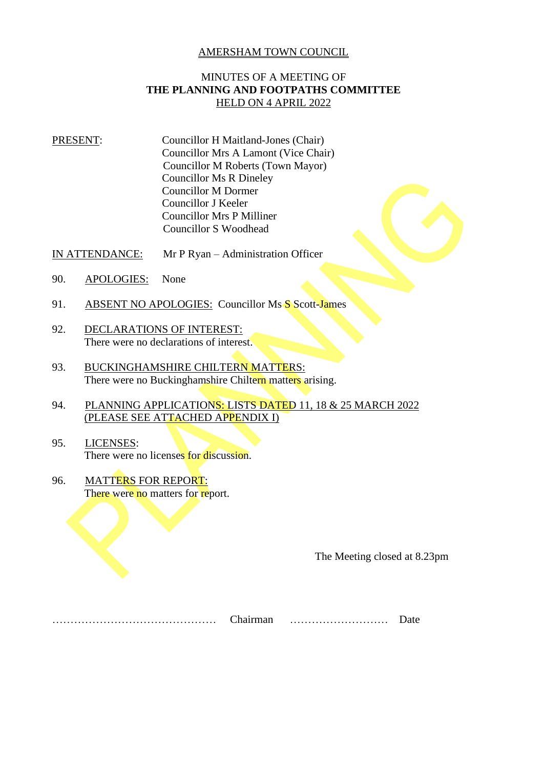## AMERSHAM TOWN COUNCIL

## MINUTES OF A MEETING OF **THE PLANNING AND FOOTPATHS COMMITTEE** HELD ON 4 APRIL 2022

PRESENT: Councillor H Maitland-Jones (Chair) Councillor Mrs A Lamont (Vice Chair) Councillor M Roberts (Town Mayor) Councillor Ms R Dineley Councillor M Dormer Councillor J Keeler Councillor Mrs P Milliner Councillor S Woodhead

- IN ATTENDANCE: Mr P Ryan Administration Officer
- 90. APOLOGIES: None
- 91. ABSENT NO APOLOGIES: Councillor Ms S Scott-James
- 92. DECLARATIONS OF INTEREST: There were no declarations of interest.
- 93. BUCKINGHAMSHIRE CHILTERN MATTERS: There were no Buckinghamshire Chiltern matters arising.
- 94. PLANNING APPLICATIONS: LISTS DATED 11, 18 & 25 MARCH 2022 (PLEASE SEE ATTACHED APPENDIX I)
- 95. LICENSES: There were no licenses for discussion.
- 96. MATTERS FOR REPORT: There were no matters for report.

The Meeting closed at 8.23pm

……………………………………… Chairman ……………………… Date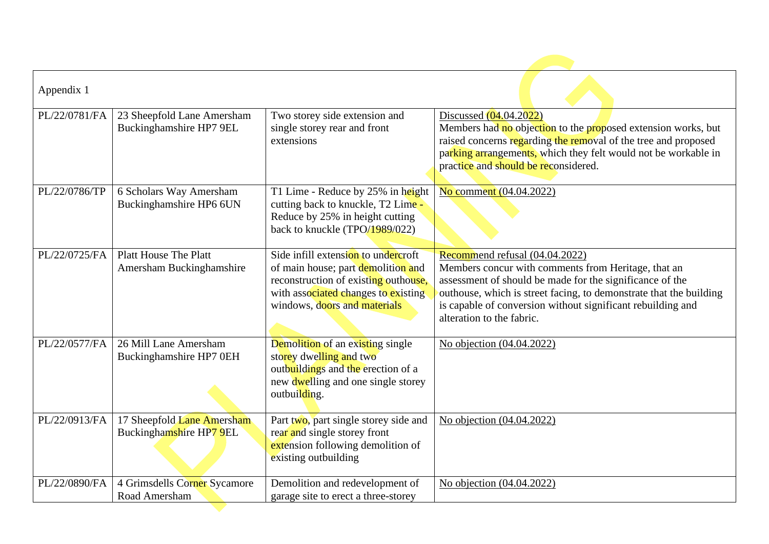| Appendix 1    |                                                          |                                                                                                                                                                                          |                                                                                                                                                                                                                                                                                                                     |
|---------------|----------------------------------------------------------|------------------------------------------------------------------------------------------------------------------------------------------------------------------------------------------|---------------------------------------------------------------------------------------------------------------------------------------------------------------------------------------------------------------------------------------------------------------------------------------------------------------------|
| PL/22/0781/FA | 23 Sheepfold Lane Amersham<br>Buckinghamshire HP7 9EL    | Two storey side extension and<br>single storey rear and front<br>extensions                                                                                                              | Discussed $(04.04.2022)$<br>Members had no objection to the proposed extension works, but<br>raised concerns regarding the removal of the tree and proposed<br>parking arrangements, which they felt would not be workable in<br>practice and should be reconsidered.                                               |
| PL/22/0786/TP | 6 Scholars Way Amersham<br>Buckinghamshire HP6 6UN       | T1 Lime - Reduce by 25% in height<br>cutting back to knuckle, T2 Lime -<br>Reduce by 25% in height cutting<br>back to knuckle (TPO/1989/022)                                             | No comment (04.04.2022)                                                                                                                                                                                                                                                                                             |
| PL/22/0725/FA | <b>Platt House The Platt</b><br>Amersham Buckinghamshire | Side infill extension to undercroft<br>of main house; part demolition and<br>reconstruction of existing outhouse,<br>with associated changes to existing<br>windows, doors and materials | Recommend refusal (04.04.2022)<br>Members concur with comments from Heritage, that an<br>assessment of should be made for the significance of the<br>outhouse, which is street facing, to demonstrate that the building<br>is capable of conversion without significant rebuilding and<br>alteration to the fabric. |
| PL/22/0577/FA | 26 Mill Lane Amersham<br>Buckinghamshire HP7 0EH         | Demolition of an existing single<br>storey dwelling and two<br>outbuildings and the erection of a<br>new dwelling and one single storey<br>outbuilding.                                  | No objection (04.04.2022)                                                                                                                                                                                                                                                                                           |
| PL/22/0913/FA | 17 Sheepfold Lane Amersham<br>Buckinghamshire HP7 9EL    | Part two, part single storey side and<br>rear and single storey front<br>extension following demolition of<br>existing outbuilding                                                       | No objection (04.04.2022)                                                                                                                                                                                                                                                                                           |
| PL/22/0890/FA | 4 Grimsdells Corner Sycamore<br>Road Amersham            | Demolition and redevelopment of<br>garage site to erect a three-storey                                                                                                                   | No objection (04.04.2022)                                                                                                                                                                                                                                                                                           |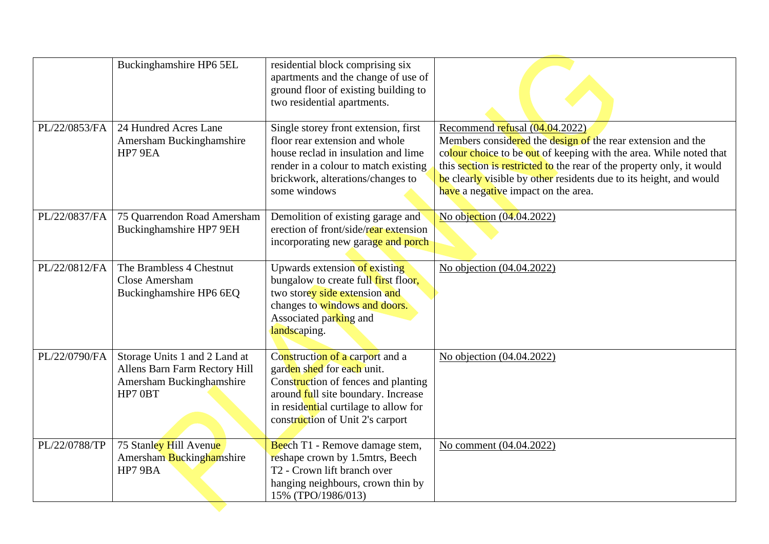|               | Buckinghamshire HP6 5EL                                                                               | residential block comprising six<br>apartments and the change of use of<br>ground floor of existing building to<br>two residential apartments.                                                                           |                                                                                                                                                                                                                                                                                                                                                           |
|---------------|-------------------------------------------------------------------------------------------------------|--------------------------------------------------------------------------------------------------------------------------------------------------------------------------------------------------------------------------|-----------------------------------------------------------------------------------------------------------------------------------------------------------------------------------------------------------------------------------------------------------------------------------------------------------------------------------------------------------|
| PL/22/0853/FA | 24 Hundred Acres Lane<br>Amersham Buckinghamshire<br>HP7 9EA                                          | Single storey front extension, first<br>floor rear extension and whole<br>house reclad in insulation and lime<br>render in a colour to match existing<br>brickwork, alterations/changes to<br>some windows               | Recommend refusal (04.04.2022)<br>Members considered the design of the rear extension and the<br>colour choice to be out of keeping with the area. While noted that<br>this section is restricted to the rear of the property only, it would<br>be clearly visible by other residents due to its height, and would<br>have a negative impact on the area. |
| PL/22/0837/FA | 75 Quarrendon Road Amersham<br>Buckinghamshire HP7 9EH                                                | Demolition of existing garage and<br>erection of front/side/rear extension<br>incorporating new garage and porch                                                                                                         | No objection (04.04.2022)                                                                                                                                                                                                                                                                                                                                 |
| PL/22/0812/FA | The Brambless 4 Chestnut<br><b>Close Amersham</b><br>Buckinghamshire HP6 6EQ                          | Upwards extension of existing<br>bungalow to create full first floor,<br>two storey side extension and<br>changes to windows and doors.<br>Associated parking and<br>landscaping.                                        | No objection (04.04.2022)                                                                                                                                                                                                                                                                                                                                 |
| PL/22/0790/FA | Storage Units 1 and 2 Land at<br>Allens Barn Farm Rectory Hill<br>Amersham Buckinghamshire<br>HP7 0BT | Construction of a carport and a<br>garden shed for each unit.<br>Construction of fences and planting<br>around full site boundary. Increase<br>in residential curtilage to allow for<br>construction of Unit 2's carport | No objection (04.04.2022)                                                                                                                                                                                                                                                                                                                                 |
| PL/22/0788/TP | 75 Stanley Hill Avenue<br>Amersham Buckinghamshire<br>HP7 9BA                                         | Beech T1 - Remove damage stem,<br>reshape crown by 1.5mtrs, Beech<br>T <sub>2</sub> - Crown lift branch over<br>hanging neighbours, crown thin by<br>15% (TPO/1986/013)                                                  | No comment (04.04.2022)                                                                                                                                                                                                                                                                                                                                   |